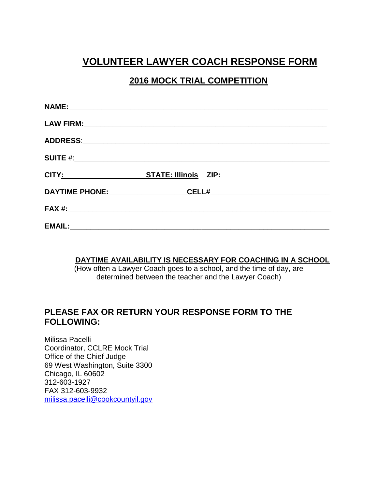# **VOLUNTEER LAWYER COACH RESPONSE FORM**

### **2016 MOCK TRIAL COMPETITION**

| CITY: STATE: Illinois ZIP: CITY: |  |
|----------------------------------|--|
|                                  |  |
|                                  |  |
|                                  |  |

#### **DAYTIME AVAILABILITY IS NECESSARY FOR COACHING IN A SCHOOL**

(How often a Lawyer Coach goes to a school, and the time of day, are determined between the teacher and the Lawyer Coach)

### **PLEASE FAX OR RETURN YOUR RESPONSE FORM TO THE FOLLOWING:**

Milissa Pacelli Coordinator, CCLRE Mock Trial Office of the Chief Judge 69 West Washington, Suite 3300 Chicago, IL 60602 312-603-1927 FAX 312-603-9932 [milissa.pacelli@cookcountyil.gov](mailto:milissa.pacelli@cookcountyil.gov)